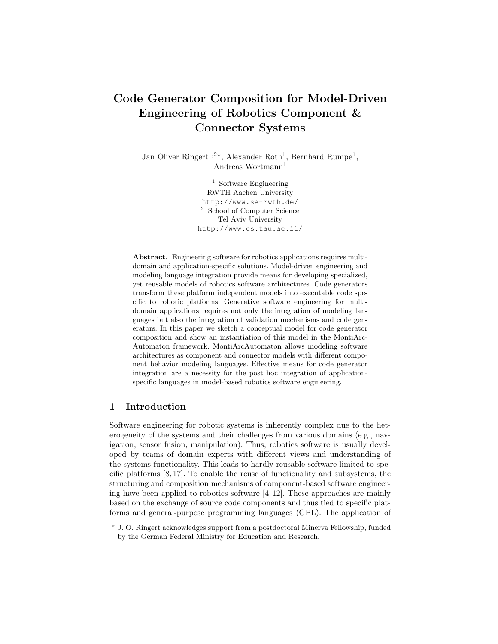# Code Generator Composition for Model-Driven Engineering of Robotics Component & Connector Systems

Jan Oliver Ringert<sup>1,2\*</sup>, Alexander Roth<sup>1</sup>, Bernhard Rumpe<sup>1</sup>, Andreas Wortmann<sup>1</sup>

> $^{\rm 1}$  Software Engineering RWTH Aachen University http://www.se-rwth.de/ <sup>2</sup> School of Computer Science Tel Aviv University http://www.cs.tau.ac.il/

Abstract. Engineering software for robotics applications requires multidomain and application-specific solutions. Model-driven engineering and modeling language integration provide means for developing specialized, yet reusable models of robotics software architectures. Code generators transform these platform independent models into executable code specific to robotic platforms. Generative software engineering for multidomain applications requires not only the integration of modeling languages but also the integration of validation mechanisms and code generators. In this paper we sketch a conceptual model for code generator composition and show an instantiation of this model in the MontiArc-Automaton framework. MontiArcAutomaton allows modeling software architectures as component and connector models with different component behavior modeling languages. Effective means for code generator integration are a necessity for the post hoc integration of applicationspecific languages in model-based robotics software engineering.

# 1 Introduction

Software engineering for robotic systems is inherently complex due to the heterogeneity of the systems and their challenges from various domains (e.g., navigation, sensor fusion, manipulation). Thus, robotics software is usually developed by teams of domain experts with different views and understanding of the systems functionality. This leads to hardly reusable software limited to specific platforms [8, 17]. To enable the reuse of functionality and subsystems, the structuring and composition mechanisms of component-based software engineering have been applied to robotics software  $[4, 12]$ . These approaches are mainly based on the exchange of source code components and thus tied to specific platforms and general-purpose programming languages (GPL). The application of

<sup>?</sup> J. O. Ringert acknowledges support from a postdoctoral Minerva Fellowship, funded by the German Federal Ministry for Education and Research.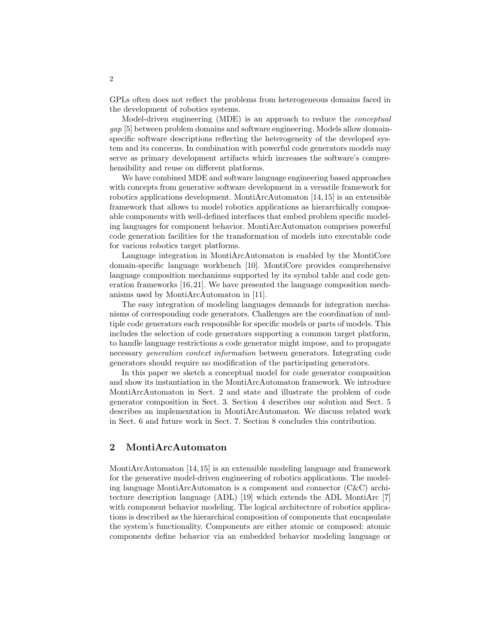GPLs often does not reflect the problems from heterogeneous domains faced in the development of robotics systems.

Model-driven engineering (MDE) is an approach to reduce the conceptual gap [5] between problem domains and software engineering. Models allow domainspecific software descriptions reflecting the heterogeneity of the developed system and its concerns. In combination with powerful code generators models may serve as primary development artifacts which increases the software's comprehensibility and reuse on different platforms.

We have combined MDE and software language engineering based approaches with concepts from generative software development in a versatile framework for robotics applications development. MontiArcAutomaton [14, 15] is an extensible framework that allows to model robotics applications as hierarchically composable components with well-defined interfaces that embed problem specific modeling languages for component behavior. MontiArcAutomaton comprises powerful code generation facilities for the transformation of models into executable code for various robotics target platforms.

Language integration in MontiArcAutomaton is enabled by the MontiCore domain-specific language workbench [10]. MontiCore provides comprehensive language composition mechanisms supported by its symbol table and code generation frameworks [16, 21]. We have presented the language composition mechanisms used by MontiArcAutomaton in [11].

The easy integration of modeling languages demands for integration mechanisms of corresponding code generators. Challenges are the coordination of multiple code generators each responsible for specific models or parts of models. This includes the selection of code generators supporting a common target platform, to handle language restrictions a code generator might impose, and to propagate necessary generation context information between generators. Integrating code generators should require no modification of the participating generators.

In this paper we sketch a conceptual model for code generator composition and show its instantiation in the MontiArcAutomaton framework. We introduce MontiArcAutomaton in Sect. 2 and state and illustrate the problem of code generator composition in Sect. 3. Section 4 describes our solution and Sect. 5 describes an implementation in MontiArcAutomaton. We discuss related work in Sect. 6 and future work in Sect. 7. Section 8 concludes this contribution.

# 2 MontiArcAutomaton

MontiArcAutomaton [14, 15] is an extensible modeling language and framework for the generative model-driven engineering of robotics applications. The modeling language MontiArcAutomaton is a component and connector (C&C) architecture description language (ADL) [19] which extends the ADL MontiArc [7] with component behavior modeling. The logical architecture of robotics applications is described as the hierarchical composition of components that encapsulate the system's functionality. Components are either atomic or composed: atomic components define behavior via an embedded behavior modeling language or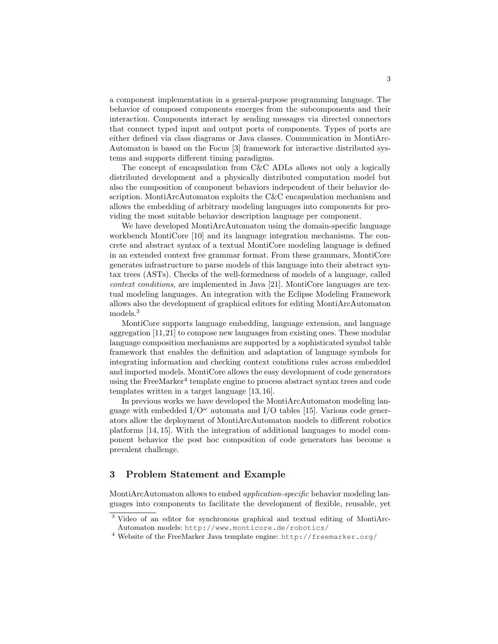a component implementation in a general-purpose programming language. The behavior of composed components emerges from the subcomponents and their interaction. Components interact by sending messages via directed connectors that connect typed input and output ports of components. Types of ports are either defined via class diagrams or Java classes. Communication in MontiArc-Automaton is based on the Focus [3] framework for interactive distributed systems and supports different timing paradigms.

The concept of encapsulation from C&C ADLs allows not only a logically distributed development and a physically distributed computation model but also the composition of component behaviors independent of their behavior description. MontiArcAutomaton exploits the C&C encapsulation mechanism and allows the embedding of arbitrary modeling languages into components for providing the most suitable behavior description language per component.

We have developed MontiArcAutomaton using the domain-specific language workbench MontiCore [10] and its language integration mechanisms. The concrete and abstract syntax of a textual MontiCore modeling language is defined in an extended context free grammar format. From these grammars, MontiCore generates infrastructure to parse models of this language into their abstract syntax trees (ASTs). Checks of the well-formedness of models of a language, called context conditions, are implemented in Java [21]. MontiCore languages are textual modeling languages. An integration with the Eclipse Modeling Framework allows also the development of graphical editors for editing MontiArcAutomaton models.<sup>3</sup>

MontiCore supports language embedding, language extension, and language aggregation [11,21] to compose new languages from existing ones. These modular language composition mechanisms are supported by a sophisticated symbol table framework that enables the definition and adaptation of language symbols for integrating information and checking context conditions rules across embedded and imported models. MontiCore allows the easy development of code generators using the FreeMarker<sup>4</sup> template engine to process abstract syntax trees and code templates written in a target language [13, 16].

In previous works we have developed the MontiArcAutomaton modeling language with embedded  $I/O^{\omega}$  automata and  $I/O$  tables [15]. Various code generators allow the deployment of MontiArcAutomaton models to different robotics platforms [14, 15]. With the integration of additional languages to model component behavior the post hoc composition of code generators has become a prevalent challenge.

# 3 Problem Statement and Example

MontiArcAutomaton allows to embed *application-specific* behavior modeling languages into components to facilitate the development of flexible, reusable, yet

<sup>3</sup> Video of an editor for synchronous graphical and textual editing of MontiArc-Automaton models: http://www.monticore.de/robotics/

<sup>4</sup> Website of the FreeMarker Java template engine: http://freemarker.org/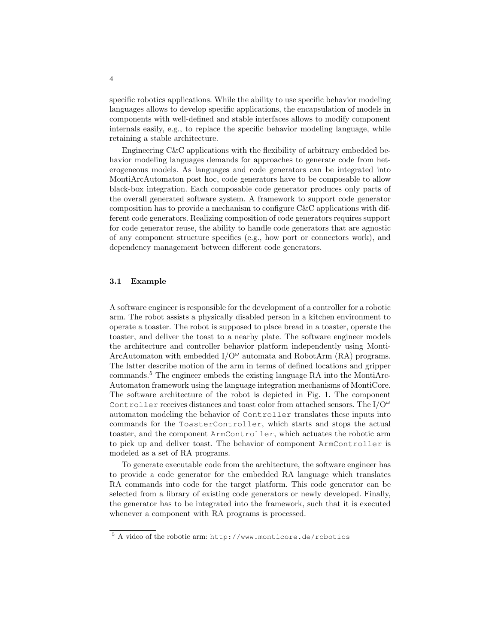specific robotics applications. While the ability to use specific behavior modeling languages allows to develop specific applications, the encapsulation of models in components with well-defined and stable interfaces allows to modify component internals easily, e.g., to replace the specific behavior modeling language, while retaining a stable architecture.

Engineering C&C applications with the flexibility of arbitrary embedded behavior modeling languages demands for approaches to generate code from heterogeneous models. As languages and code generators can be integrated into MontiArcAutomaton post hoc, code generators have to be composable to allow black-box integration. Each composable code generator produces only parts of the overall generated software system. A framework to support code generator composition has to provide a mechanism to configure C&C applications with different code generators. Realizing composition of code generators requires support for code generator reuse, the ability to handle code generators that are agnostic of any component structure specifics (e.g., how port or connectors work), and dependency management between different code generators.

#### 3.1 Example

A software engineer is responsible for the development of a controller for a robotic arm. The robot assists a physically disabled person in a kitchen environment to operate a toaster. The robot is supposed to place bread in a toaster, operate the toaster, and deliver the toast to a nearby plate. The software engineer models the architecture and controller behavior platform independently using Monti-ArcAutomaton with embedded  $I/O^{\omega}$  automata and RobotArm (RA) programs. The latter describe motion of the arm in terms of defined locations and gripper commands.<sup>5</sup> The engineer embeds the existing language RA into the MontiArc-Automaton framework using the language integration mechanisms of MontiCore. The software architecture of the robot is depicted in Fig. 1. The component Controller receives distances and toast color from attached sensors. The  $I/O^{\omega}$ automaton modeling the behavior of Controller translates these inputs into commands for the ToasterController, which starts and stops the actual toaster, and the component ArmController, which actuates the robotic arm to pick up and deliver toast. The behavior of component ArmController is modeled as a set of RA programs.

To generate executable code from the architecture, the software engineer has to provide a code generator for the embedded RA language which translates RA commands into code for the target platform. This code generator can be selected from a library of existing code generators or newly developed. Finally, the generator has to be integrated into the framework, such that it is executed whenever a component with RA programs is processed.

<sup>5</sup> A video of the robotic arm: http://www.monticore.de/robotics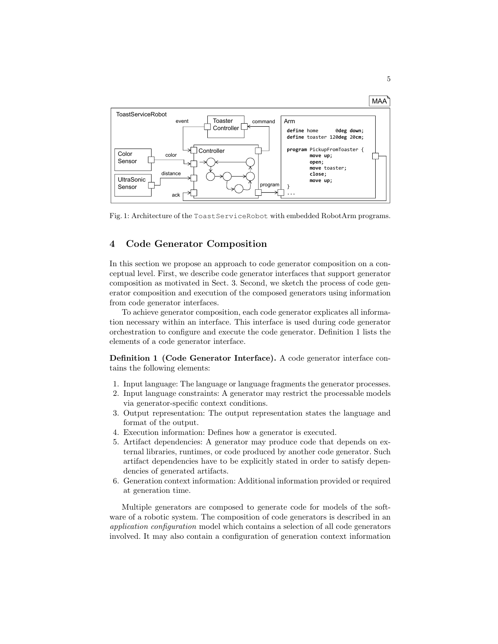

Fig. 1: Architecture of the ToastServiceRobot with embedded RobotArm programs.

# 4 Code Generator Composition

In this section we propose an approach to code generator composition on a conceptual level. First, we describe code generator interfaces that support generator composition as motivated in Sect. 3. Second, we sketch the process of code generator composition and execution of the composed generators using information from code generator interfaces.

To achieve generator composition, each code generator explicates all information necessary within an interface. This interface is used during code generator orchestration to configure and execute the code generator. Definition 1 lists the elements of a code generator interface.

Definition 1 (Code Generator Interface). A code generator interface contains the following elements:

- 1. Input language: The language or language fragments the generator processes.
- 2. Input language constraints: A generator may restrict the processable models via generator-specific context conditions.
- 3. Output representation: The output representation states the language and format of the output.
- 4. Execution information: Defines how a generator is executed.
- 5. Artifact dependencies: A generator may produce code that depends on external libraries, runtimes, or code produced by another code generator. Such artifact dependencies have to be explicitly stated in order to satisfy dependencies of generated artifacts.
- 6. Generation context information: Additional information provided or required at generation time.

Multiple generators are composed to generate code for models of the software of a robotic system. The composition of code generators is described in an application configuration model which contains a selection of all code generators involved. It may also contain a configuration of generation context information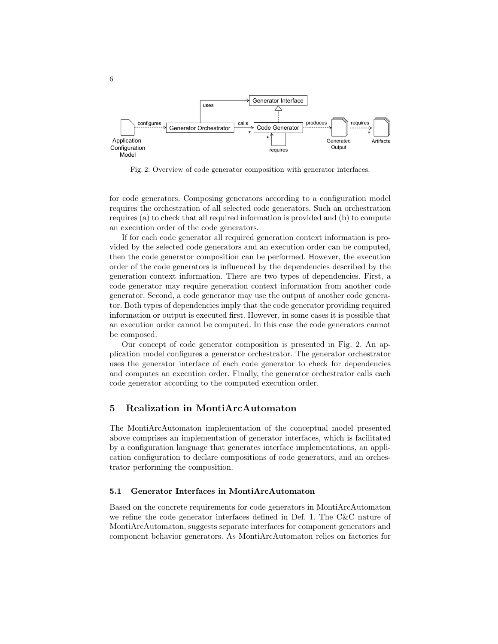

Fig. 2: Overview of code generator composition with generator interfaces.

for code generators. Composing generators according to a configuration model requires the orchestration of all selected code generators. Such an orchestration requires (a) to check that all required information is provided and (b) to compute an execution order of the code generators.

If for each code generator all required generation context information is provided by the selected code generators and an execution order can be computed, then the code generator composition can be performed. However, the execution order of the code generators is influenced by the dependencies described by the generation context information. There are two types of dependencies. First, a code generator may require generation context information from another code generator. Second, a code generator may use the output of another code generator. Both types of dependencies imply that the code generator providing required information or output is executed first. However, in some cases it is possible that an execution order cannot be computed. In this case the code generators cannot be composed.

Our concept of code generator composition is presented in Fig. 2. An application model configures a generator orchestrator. The generator orchestrator uses the generator interface of each code generator to check for dependencies and computes an execution order. Finally, the generator orchestrator calls each code generator according to the computed execution order.

## 5 Realization in MontiArcAutomaton

The MontiArcAutomaton implementation of the conceptual model presented above comprises an implementation of generator interfaces, which is facilitated by a configuration language that generates interface implementations, an application configuration to declare compositions of code generators, and an orchestrator performing the composition.

#### 5.1 Generator Interfaces in MontiArcAutomaton

Based on the concrete requirements for code generators in MontiArcAutomaton we refine the code generator interfaces defined in Def. 1. The C&C nature of MontiArcAutomaton, suggests separate interfaces for component generators and component behavior generators. As MontiArcAutomaton relies on factories for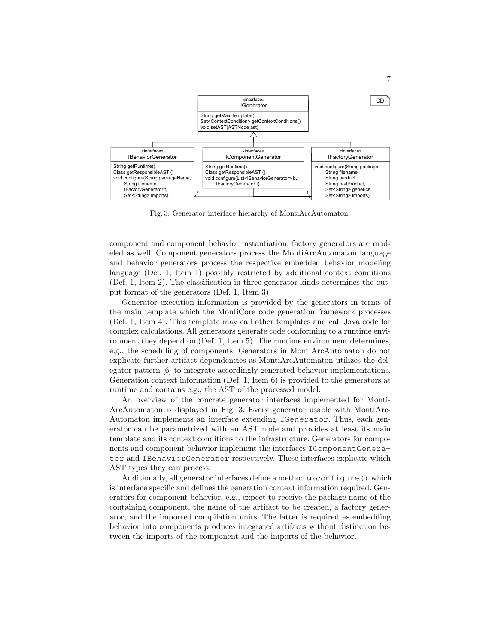

Fig. 3: Generator interface hierarchy of MontiArcAutomaton.

component and component behavior instantiation, factory generators are modeled as well. Component generators process the MontiArcAutomaton language and behavior generators process the respective embedded behavior modeling language (Def. 1, Item 1) possibly restricted by additional context conditions (Def. 1, Item 2). The classification in three generator kinds determines the output format of the generators (Def. 1, Item 3).

Generator execution information is provided by the generators in terms of the main template which the MontiCore code generation framework processes (Def. 1, Item 4). This template may call other templates and call Java code for complex calculations. All generators generate code conforming to a runtime environment they depend on (Def. 1, Item 5). The runtime environment determines, e.g., the scheduling of components. Generators in MontiArcAutomaton do not explicate further artifact dependencies as MontiArcAutomaton utilizes the delegator pattern [6] to integrate accordingly generated behavior implementations. Generation context information (Def. 1, Item 6) is provided to the generators at runtime and contains e.g., the AST of the processed model.

An overview of the concrete generator interfaces implemented for Monti-ArcAutomaton is displayed in Fig. 3. Every generator usable with MontiArc-Automaton implements an interface extending IGenerator. Thus, each generator can be parametrized with an AST node and provides at least its main template and its context conditions to the infrastructure. Generators for components and component behavior implement the interfaces IComponentGenerator and IBehaviorGenerator respectively. These interfaces explicate which AST types they can process.

Additionally, all generator interfaces define a method to configure() which is interface specific and defines the generation context information required. Generators for component behavior, e.g., expect to receive the package name of the containing component, the name of the artifact to be created, a factory generator, and the imported compilation units. The latter is required as embedding behavior into components produces integrated artifacts without distinction between the imports of the component and the imports of the behavior.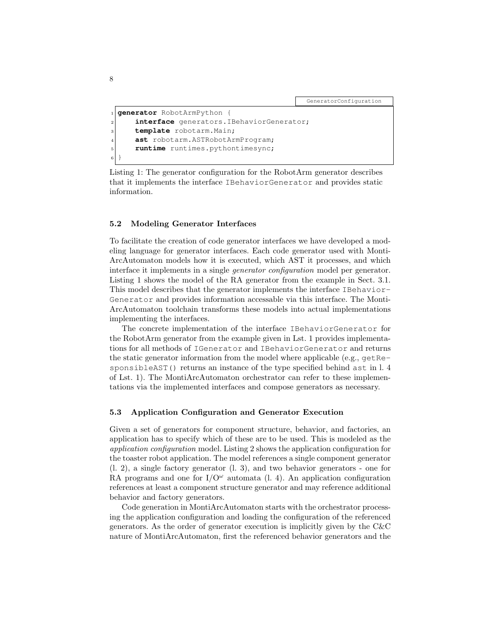GeneratorConfiguration

```
generator RobotArmPython {
     interface generators. IBehaviorGenerator;
     3 template robotarm.Main;
     ast robotarm.ASTRobotArmProgram;
     runtime runtimes.pythontimesync;
6 }
```
Listing 1: The generator configuration for the RobotArm generator describes that it implements the interface IBehaviorGenerator and provides static information.

#### 5.2 Modeling Generator Interfaces

To facilitate the creation of code generator interfaces we have developed a modeling language for generator interfaces. Each code generator used with Monti-ArcAutomaton models how it is executed, which AST it processes, and which interface it implements in a single generator configuration model per generator. Listing 1 shows the model of the RA generator from the example in Sect. 3.1. This model describes that the generator implements the interface IBehavior-Generator and provides information accessable via this interface. The Monti-ArcAutomaton toolchain transforms these models into actual implementations implementing the interfaces.

The concrete implementation of the interface IBehaviorGenerator for the RobotArm generator from the example given in Lst. 1 provides implementations for all methods of IGenerator and IBehaviorGenerator and returns the static generator information from the model where applicable (e.g., getResponsibleAST() returns an instance of the type specified behind ast in l. 4 of Lst. 1). The MontiArcAutomaton orchestrator can refer to these implementations via the implemented interfaces and compose generators as necessary.

#### 5.3 Application Configuration and Generator Execution

Given a set of generators for component structure, behavior, and factories, an application has to specify which of these are to be used. This is modeled as the application configuration model. Listing 2 shows the application configuration for the toaster robot application. The model references a single component generator (l. 2), a single factory generator (l. 3), and two behavior generators - one for RA programs and one for  $I/O^{\omega}$  automata (l. 4). An application configuration references at least a component structure generator and may reference additional behavior and factory generators.

Code generation in MontiArcAutomaton starts with the orchestrator processing the application configuration and loading the configuration of the referenced generators. As the order of generator execution is implicitly given by the C&C nature of MontiArcAutomaton, first the referenced behavior generators and the

8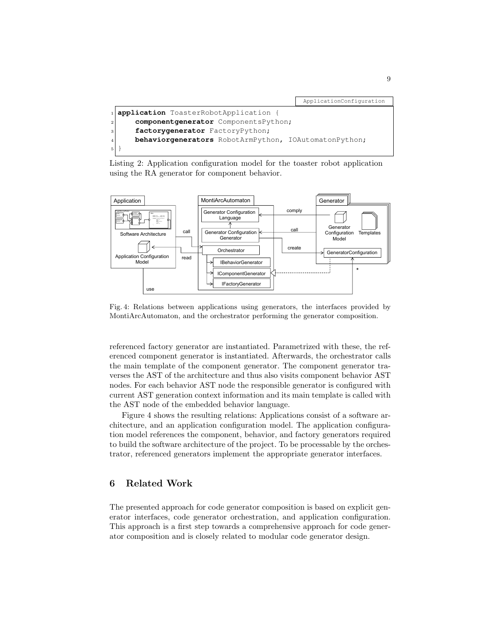```
ApplicationConfiguration
 application ToasterRobotApplication {
     2 componentgenerator ComponentsPython;
3 factorygenerator FactoryPython;
     4 behaviorgenerators RobotArmPython, IOAutomatonPython;
5 }
```
Listing 2: Application configuration model for the toaster robot application using the RA generator for component behavior.



Fig. 4: Relations between applications using generators, the interfaces provided by MontiArcAutomaton, and the orchestrator performing the generator composition.

referenced factory generator are instantiated. Parametrized with these, the referenced component generator is instantiated. Afterwards, the orchestrator calls the main template of the component generator. The component generator traverses the AST of the architecture and thus also visits component behavior AST nodes. For each behavior AST node the responsible generator is configured with current AST generation context information and its main template is called with the AST node of the embedded behavior language.

Figure 4 shows the resulting relations: Applications consist of a software architecture, and an application configuration model. The application configuration model references the component, behavior, and factory generators required to build the software architecture of the project. To be processable by the orchestrator, referenced generators implement the appropriate generator interfaces.

# 6 Related Work

The presented approach for code generator composition is based on explicit generator interfaces, code generator orchestration, and application configuration. This approach is a first step towards a comprehensive approach for code generator composition and is closely related to modular code generator design.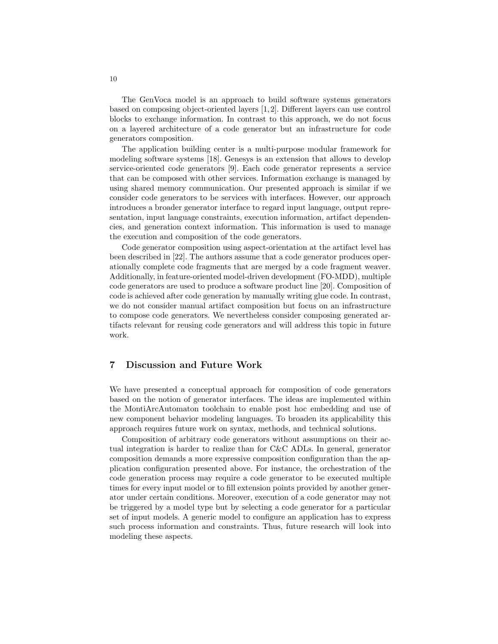The GenVoca model is an approach to build software systems generators based on composing object-oriented layers [1, 2]. Different layers can use control blocks to exchange information. In contrast to this approach, we do not focus on a layered architecture of a code generator but an infrastructure for code generators composition.

The application building center is a multi-purpose modular framework for modeling software systems [18]. Genesys is an extension that allows to develop service-oriented code generators [9]. Each code generator represents a service that can be composed with other services. Information exchange is managed by using shared memory communication. Our presented approach is similar if we consider code generators to be services with interfaces. However, our approach introduces a broader generator interface to regard input language, output representation, input language constraints, execution information, artifact dependencies, and generation context information. This information is used to manage the execution and composition of the code generators.

Code generator composition using aspect-orientation at the artifact level has been described in [22]. The authors assume that a code generator produces operationally complete code fragments that are merged by a code fragment weaver. Additionally, in feature-oriented model-driven development (FO-MDD), multiple code generators are used to produce a software product line [20]. Composition of code is achieved after code generation by manually writing glue code. In contrast, we do not consider manual artifact composition but focus on an infrastructure to compose code generators. We nevertheless consider composing generated artifacts relevant for reusing code generators and will address this topic in future work.

### 7 Discussion and Future Work

We have presented a conceptual approach for composition of code generators based on the notion of generator interfaces. The ideas are implemented within the MontiArcAutomaton toolchain to enable post hoc embedding and use of new component behavior modeling languages. To broaden its applicability this approach requires future work on syntax, methods, and technical solutions.

Composition of arbitrary code generators without assumptions on their actual integration is harder to realize than for C&C ADLs. In general, generator composition demands a more expressive composition configuration than the application configuration presented above. For instance, the orchestration of the code generation process may require a code generator to be executed multiple times for every input model or to fill extension points provided by another generator under certain conditions. Moreover, execution of a code generator may not be triggered by a model type but by selecting a code generator for a particular set of input models. A generic model to configure an application has to express such process information and constraints. Thus, future research will look into modeling these aspects.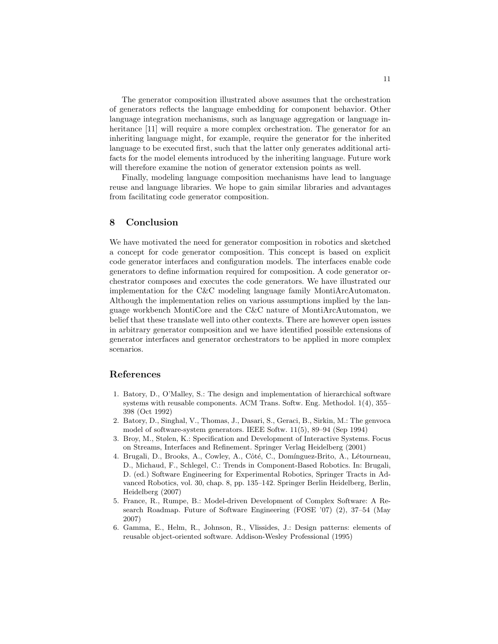The generator composition illustrated above assumes that the orchestration of generators reflects the language embedding for component behavior. Other language integration mechanisms, such as language aggregation or language inheritance [11] will require a more complex orchestration. The generator for an inheriting language might, for example, require the generator for the inherited language to be executed first, such that the latter only generates additional artifacts for the model elements introduced by the inheriting language. Future work will therefore examine the notion of generator extension points as well.

Finally, modeling language composition mechanisms have lead to language reuse and language libraries. We hope to gain similar libraries and advantages from facilitating code generator composition.

### 8 Conclusion

We have motivated the need for generator composition in robotics and sketched a concept for code generator composition. This concept is based on explicit code generator interfaces and configuration models. The interfaces enable code generators to define information required for composition. A code generator orchestrator composes and executes the code generators. We have illustrated our implementation for the C&C modeling language family MontiArcAutomaton. Although the implementation relies on various assumptions implied by the language workbench MontiCore and the C&C nature of MontiArcAutomaton, we belief that these translate well into other contexts. There are however open issues in arbitrary generator composition and we have identified possible extensions of generator interfaces and generator orchestrators to be applied in more complex scenarios.

### References

- 1. Batory, D., O'Malley, S.: The design and implementation of hierarchical software systems with reusable components. ACM Trans. Softw. Eng. Methodol. 1(4), 355– 398 (Oct 1992)
- 2. Batory, D., Singhal, V., Thomas, J., Dasari, S., Geraci, B., Sirkin, M.: The genvoca model of software-system generators. IEEE Softw. 11(5), 89–94 (Sep 1994)
- 3. Broy, M., Stølen, K.: Specification and Development of Interactive Systems. Focus on Streams, Interfaces and Refinement. Springer Verlag Heidelberg (2001)
- 4. Brugali, D., Brooks, A., Cowley, A., Côté, C., Domínguez-Brito, A., Létourneau, D., Michaud, F., Schlegel, C.: Trends in Component-Based Robotics. In: Brugali, D. (ed.) Software Engineering for Experimental Robotics, Springer Tracts in Advanced Robotics, vol. 30, chap. 8, pp. 135–142. Springer Berlin Heidelberg, Berlin, Heidelberg (2007)
- 5. France, R., Rumpe, B.: Model-driven Development of Complex Software: A Research Roadmap. Future of Software Engineering (FOSE '07) (2), 37–54 (May 2007)
- 6. Gamma, E., Helm, R., Johnson, R., Vlissides, J.: Design patterns: elements of reusable object-oriented software. Addison-Wesley Professional (1995)